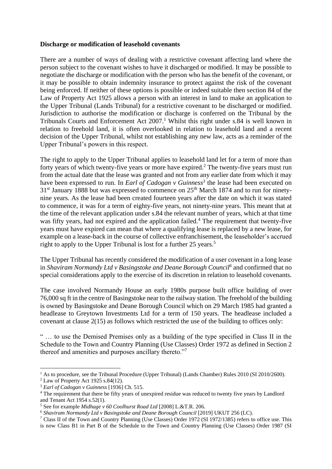## **Discharge or modification of leasehold covenants**

There are a number of ways of dealing with a restrictive covenant affecting land where the person subject to the covenant wishes to have it discharged or modified. It may be possible to negotiate the discharge or modification with the person who has the benefit of the covenant, or it may be possible to obtain indemnity insurance to protect against the risk of the covenant being enforced. If neither of these options is possible or indeed suitable then section 84 of the Law of Property Act 1925 allows a person with an interest in land to make an application to the Upper Tribunal (Lands Tribunal) for a restrictive covenant to be discharged or modified. Jurisdiction to authorise the modification or discharge is conferred on the Tribunal by the Tribunals Courts and Enforcement Act  $2007<sup>1</sup>$  Whilst this right under s.84 is well known in relation to freehold land, it is often overlooked in relation to leasehold land and a recent decision of the Upper Tribunal, whilst not establishing any new law, acts as a reminder of the Upper Tribunal's powers in this respect.

The right to apply to the Upper Tribunal applies to leasehold land let for a term of more than forty years of which twenty-five years or more have expired.<sup>2</sup> The twenty-five years must run from the actual date that the lease was granted and not from any earlier date from which it may have been expressed to run. In *Earl of Cadogan v Guinness<sup>3</sup>* the lease had been executed on  $31<sup>st</sup>$  January 1888 but was expressed to commence on  $25<sup>th</sup>$  March 1874 and to run for ninetynine years. As the lease had been created fourteen years after the date on which it was stated to commence, it was for a term of eighty-five years, not ninety-nine years. This meant that at the time of the relevant application under s.84 the relevant number of years, which at that time was fifty years, had not expired and the application failed.<sup>4</sup> The requirement that twenty-five years must have expired can mean that where a qualifying lease is replaced by a new lease, for example on a lease-back in the course of collective enfranchisement, the leaseholder's accrued right to apply to the Upper Tribunal is lost for a further 25 years.<sup>5</sup>

The Upper Tribunal has recently considered the modification of a user covenant in a long lease in *Shaviram Normandy Ltd v Basingstoke and Deane Borough Council<sup>6</sup>* and confirmed that no special considerations apply to the exercise of its discretion in relation to leasehold covenants.

The case involved Normandy House an early 1980s purpose built office building of over 76,000 sq ft in the centre of Basingstoke near to the railway station. The freehold of the building is owned by Basingstoke and Deane Borough Council which on 29 March 1985 had granted a headlease to Greytown Investments Ltd for a term of 150 years. The headlease included a covenant at clause 2(15) as follows which restricted the use of the building to offices only:

" … to use the Demised Premises only as a building of the type specified in Class II in the Schedule to the Town and Country Planning (Use Classes) Order 1972 as defined in Section 2 thereof and amenities and purposes ancillary thereto."<sup>7</sup>

<u>.</u>

<sup>&</sup>lt;sup>1</sup> As to procedure, see the Tribunal Procedure (Upper Tribunal) (Lands Chamber) Rules 2010 (SI 2010/2600).

 $2$  Law of Property Act 1925 s.84(12).

<sup>3</sup> *Earl of Cadogan v Guinness* [1936] Ch. 515.

<sup>4</sup> The requirement that there be fifty years of unexpired residue was reduced to twenty five years by Landlord and Tenant Act 1954 s.52(1).

<sup>5</sup> See for example *Midhage v 60 Coolhurst Road Ltd* [2008] L.&T.R. 206.

<sup>&</sup>lt;sup>6</sup> Shaviram Normandy Ltd v Basingstoke and Deane Borough Council [2019] UKUT 256 (LC).

<sup>7</sup> Class II of the Town and Country Planning (Use Classes) Order 1972 (SI 1972/1385) refers to office use. This is now Class B1 in Part B of the Schedule to the Town and Country Planning (Use Classes) Order 1987 (SI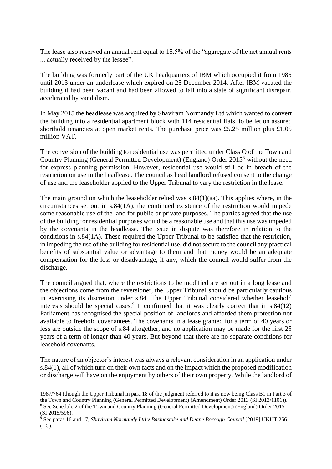The lease also reserved an annual rent equal to 15.5% of the "aggregate of the net annual rents ... actually received by the lessee".

The building was formerly part of the UK headquarters of IBM which occupied it from 1985 until 2013 under an underlease which expired on 25 December 2014. After IBM vacated the building it had been vacant and had been allowed to fall into a state of significant disrepair, accelerated by vandalism.

In May 2015 the headlease was acquired by Shaviram Normandy Ltd which wanted to convert the building into a residential apartment block with 114 residential flats, to be let on assured shorthold tenancies at open market rents. The purchase price was £5.25 million plus £1.05 million VAT.

The conversion of the building to residential use was permitted under Class O of the Town and Country Planning (General Permitted Development) (England) Order 2015<sup>8</sup> without the need for express planning permission. However, residential use would still be in breach of the restriction on use in the headlease. The council as head landlord refused consent to the change of use and the leaseholder applied to the Upper Tribunal to vary the restriction in the lease.

The main ground on which the leaseholder relied was  $s.84(1)(aa)$ . This applies where, in the circumstances set out in s.84(1A), the continued existence of the restriction would impede some reasonable use of the land for public or private purposes. The parties agreed that the use of the building for residential purposes would be a reasonable use and that this use was impeded by the covenants in the headlease. The issue in dispute was therefore in relation to the conditions in s.84(1A). These required the Upper Tribunal to be satisfied that the restriction, in impeding the use of the building for residential use, did not secure to the council any practical benefits of substantial value or advantage to them and that money would be an adequate compensation for the loss or disadvantage, if any, which the council would suffer from the discharge.

The council argued that, where the restrictions to be modified are set out in a long lease and the objections come from the reversioner, the Upper Tribunal should be particularly cautious in exercising its discretion under s.84. The Upper Tribunal considered whether leasehold interests should be special cases.<sup>9</sup> It confirmed that it was clearly correct that in  $s.84(12)$ Parliament has recognised the special position of landlords and afforded them protection not available to freehold covenantees. The covenants in a lease granted for a term of 40 years or less are outside the scope of s.84 altogether, and no application may be made for the first 25 years of a term of longer than 40 years. But beyond that there are no separate conditions for leasehold covenants.

The nature of an objector's interest was always a relevant consideration in an application under s.84(1), all of which turn on their own facts and on the impact which the proposed modification or discharge will have on the enjoyment by others of their own property. While the landlord of

<u>.</u>

<sup>1987/764 (</sup>though the Upper Tribunal in para 18 of the judgment referred to it as now being Class B1 in Part 3 of the Town and Country Planning (General Permitted Development) (Amendment) Order 2013 (SI 2013/1101)). <sup>8</sup> See Schedule 2 of the Town and Country Planning (General Permitted Development) (England) Order 2015 (SI 2015/596).

<sup>&</sup>lt;sup>9</sup> See paras 16 and 17, *Shaviram Normandy Ltd v Basingstoke and Deane Borough Council* [2019] UKUT 256 (LC).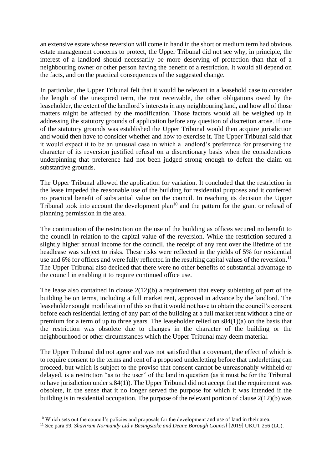an extensive estate whose reversion will come in hand in the short or medium term had obvious estate management concerns to protect, the Upper Tribunal did not see why, in principle, the interest of a landlord should necessarily be more deserving of protection than that of a neighbouring owner or other person having the benefit of a restriction. It would all depend on the facts, and on the practical consequences of the suggested change.

In particular, the Upper Tribunal felt that it would be relevant in a leasehold case to consider the length of the unexpired term, the rent receivable, the other obligations owed by the leaseholder, the extent of the landlord's interests in any neighbouring land, and how all of those matters might be affected by the modification. Those factors would all be weighed up in addressing the statutory grounds of application before any question of discretion arose. If one of the statutory grounds was established the Upper Tribunal would then acquire jurisdiction and would then have to consider whether and how to exercise it. The Upper Tribunal said that it would expect it to be an unusual case in which a landlord's preference for preserving the character of its reversion justified refusal on a discretionary basis when the considerations underpinning that preference had not been judged strong enough to defeat the claim on substantive grounds.

The Upper Tribunal allowed the application for variation. It concluded that the restriction in the lease impeded the reasonable use of the building for residential purposes and it conferred no practical benefit of substantial value on the council. In reaching its decision the Upper Tribunal took into account the development plan<sup>10</sup> and the pattern for the grant or refusal of planning permission in the area.

The continuation of the restriction on the use of the building as offices secured no benefit to the council in relation to the capital value of the reversion. While the restriction secured a slightly higher annual income for the council, the receipt of any rent over the lifetime of the headlease was subject to risks. These risks were reflected in the yields of 5% for residential use and 6% for offices and were fully reflected in the resulting capital values of the reversion.<sup>11</sup> The Upper Tribunal also decided that there were no other benefits of substantial advantage to the council in enabling it to require continued office use.

The lease also contained in clause  $2(12)(b)$  a requirement that every subletting of part of the building be on terms, including a full market rent, approved in advance by the landlord. The leaseholder sought modification of this so that it would not have to obtain the council's consent before each residential letting of any part of the building at a full market rent without a fine or premium for a term of up to three years. The leaseholder relied on s84(1)(a) on the basis that the restriction was obsolete due to changes in the character of the building or the neighbourhood or other circumstances which the Upper Tribunal may deem material.

The Upper Tribunal did not agree and was not satisfied that a covenant, the effect of which is to require consent to the terms and rent of a proposed underletting before that underletting can proceed, but which is subject to the proviso that consent cannot be unreasonably withheld or delayed, is a restriction "as to the user" of the land in question (as it must be for the Tribunal to have jurisdiction under s.84(1)). The Upper Tribunal did not accept that the requirement was obsolete, in the sense that it no longer served the purpose for which it was intended if the building is in residential occupation. The purpose of the relevant portion of clause 2(12)(b) was

<sup>&</sup>lt;sup>10</sup> Which sets out the council's policies and proposals for the development and use of land in their area.

<sup>&</sup>lt;sup>11</sup> See para 99, *Shaviram Normandy Ltd v Basingstoke and Deane Borough Council* [2019] UKUT 256 (LC).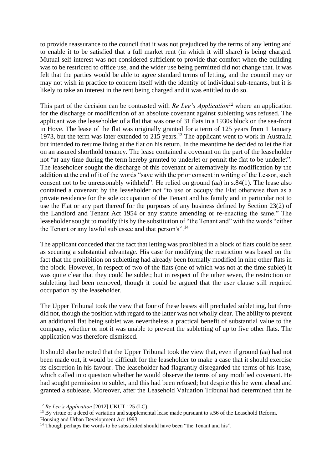to provide reassurance to the council that it was not prejudiced by the terms of any letting and to enable it to be satisfied that a full market rent (in which it will share) is being charged. Mutual self-interest was not considered sufficient to provide that comfort when the building was to be restricted to office use, and the wider use being permitted did not change that. It was felt that the parties would be able to agree standard terms of letting, and the council may or may not wish in practice to concern itself with the identity of individual sub-tenants, but it is likely to take an interest in the rent being charged and it was entitled to do so.

This part of the decision can be contrasted with *Re Lee's Application<sup>12</sup>* where an application for the discharge or modification of an absolute covenant against subletting was refused. The applicant was the leaseholder of a flat that was one of 31 flats in a 1930s block on the sea-front in Hove. The lease of the flat was originally granted for a term of 125 years from 1 January 1973, but the term was later extended to 215 years.<sup>13</sup> The applicant went to work in Australia but intended to resume living at the flat on his return. In the meantime he decided to let the flat on an assured shorthold tenancy. The lease contained a covenant on the part of the leaseholder not "at any time during the term hereby granted to underlet or permit the flat to be underlet". The leaseholder sought the discharge of this covenant or alternatively its modification by the addition at the end of it of the words "save with the prior consent in writing of the Lessor, such consent not to be unreasonably withheld". He relied on ground (aa) in s.84(1). The lease also contained a covenant by the leaseholder not "to use or occupy the Flat otherwise than as a private residence for the sole occupation of the Tenant and his family and in particular not to use the Flat or any part thereof for the purposes of any business defined by Section 23(2) of the Landlord and Tenant Act 1954 or any statute amending or re-enacting the same." The leaseholder sought to modify this by the substitution of "the Tenant and" with the words "either the Tenant or any lawful sublessee and that person's".<sup>14</sup>

The applicant conceded that the fact that letting was prohibited in a block of flats could be seen as securing a substantial advantage. His case for modifying the restriction was based on the fact that the prohibition on subletting had already been formally modified in nine other flats in the block. However, in respect of two of the flats (one of which was not at the time sublet) it was quite clear that they could be sublet; but in respect of the other seven, the restriction on subletting had been removed, though it could be argued that the user clause still required occupation by the leaseholder.

The Upper Tribunal took the view that four of these leases still precluded subletting, but three did not, though the position with regard to the latter was not wholly clear. The ability to prevent an additional flat being sublet was nevertheless a practical benefit of substantial value to the company, whether or not it was unable to prevent the subletting of up to five other flats. The application was therefore dismissed.

It should also be noted that the Upper Tribunal took the view that, even if ground (aa) had not been made out, it would be difficult for the leaseholder to make a case that it should exercise its discretion in his favour. The leaseholder had flagrantly disregarded the terms of his lease, which called into question whether he would observe the terms of any modified covenant. He had sought permission to sublet, and this had been refused; but despite this he went ahead and granted a sublease. Moreover, after the Leasehold Valuation Tribunal had determined that he

<sup>12</sup> *Re Lee's Application* [2012] UKUT 125 (LC).

 $13$  By virtue of a deed of variation and supplemental lease made pursuant to s.56 of the Leasehold Reform,

Housing and Urban Development Act 1993.

<sup>&</sup>lt;sup>14</sup> Though perhaps the words to be substituted should have been "the Tenant and his".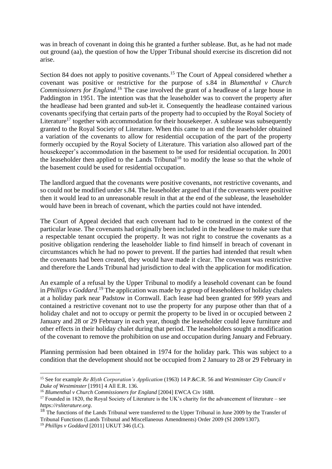was in breach of covenant in doing this he granted a further sublease. But, as he had not made out ground (aa), the question of how the Upper Tribunal should exercise its discretion did not arise.

Section 84 does not apply to positive covenants.<sup>15</sup> The Court of Appeal considered whether a covenant was positive or restrictive for the purpose of s.84 in *Blumenthal v Church Commissioners for England*. <sup>16</sup> The case involved the grant of a headlease of a large house in Paddington in 1951. The intention was that the leaseholder was to convert the property after the headlease had been granted and sub-let it. Consequently the headlease contained various covenants specifying that certain parts of the property had to occupied by the Royal Society of Literature<sup>17</sup> together with accommodation for their housekeeper. A sublease was subsequently granted to the Royal Society of Literature. When this came to an end the leaseholder obtained a variation of the covenants to allow for residential occupation of the part of the property formerly occupied by the Royal Society of Literature. This variation also allowed part of the housekeeper's accommodation in the basement to be used for residential occupation. In 2001 the leaseholder then applied to the Lands Tribunal<sup>18</sup> to modify the lease so that the whole of the basement could be used for residential occupation.

The landlord argued that the covenants were positive covenants, not restrictive covenants, and so could not be modified under s.84. The leaseholder argued that if the covenants were positive then it would lead to an unreasonable result in that at the end of the sublease, the leaseholder would have been in breach of covenant, which the parties could not have intended.

The Court of Appeal decided that each covenant had to be construed in the context of the particular lease. The covenants had originally been included in the headlease to make sure that a respectable tenant occupied the property. It was not right to construe the covenants as a positive obligation rendering the leaseholder liable to find himself in breach of covenant in circumstances which he had no power to prevent. If the parties had intended that result when the covenants had been created, they would have made it clear. The covenant was restrictive and therefore the Lands Tribunal had jurisdiction to deal with the application for modification.

An example of a refusal by the Upper Tribunal to modify a leasehold covenant can be found in *Phillips v Goddard*. <sup>19</sup> The application was made by a group of leaseholders of holiday chalets at a holiday park near Padstow in Cornwall. Each lease had been granted for 999 years and contained a restrictive covenant not to use the property for any purpose other than that of a holiday chalet and not to occupy or permit the property to be lived in or occupied between 2 January and 28 or 29 February in each year, though the leaseholder could leave furniture and other effects in their holiday chalet during that period. The leaseholders sought a modification of the covenant to remove the prohibition on use and occupation during January and February.

Planning permission had been obtained in 1974 for the holiday park. This was subject to a condition that the development should not be occupied from 2 January to 28 or 29 February in

<sup>15</sup> See for example *Re Blyth Corporation's Application* (1963) 14 P.&C.R. 56 and *Westminster City Council v Duke of Westminster* [1991] 4 All E.R. 136.

<sup>16</sup> *Blumenthal v Church Commissioners for England* [2004] EWCA Civ 1688.

<sup>&</sup>lt;sup>17</sup> Founded in 1820, the Royal Society of Literature is the UK's charity for the advancement of literature – see *https://rsliterature.org*.

<sup>&</sup>lt;sup>18</sup> The functions of the Lands Tribunal were transferred to the Upper Tribunal in June 2009 by the Transfer of Tribunal Functions (Lands Tribunal and Miscellaneous Amendments) Order 2009 (SI 2009/1307).

<sup>19</sup> *Phillips v Goddard* [2011] UKUT 346 (LC).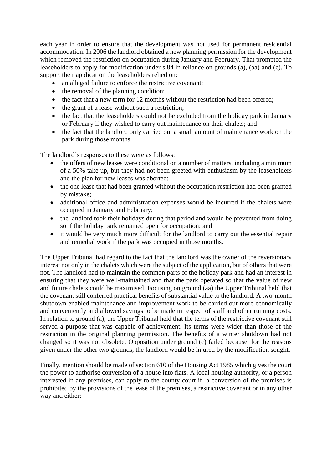each year in order to ensure that the development was not used for permanent residential accommodation. In 2006 the landlord obtained a new planning permission for the development which removed the restriction on occupation during January and February. That prompted the leaseholders to apply for modification under s.84 in reliance on grounds (a), (aa) and (c). To support their application the leaseholders relied on:

- an alleged failure to enforce the restrictive covenant;
- the removal of the planning condition;
- the fact that a new term for 12 months without the restriction had been offered;
- the grant of a lease without such a restriction;
- the fact that the leaseholders could not be excluded from the holiday park in January or February if they wished to carry out maintenance on their chalets; and
- the fact that the landlord only carried out a small amount of maintenance work on the park during those months.

The landlord's responses to these were as follows:

- the offers of new leases were conditional on a number of matters, including a minimum of a 50% take up, but they had not been greeted with enthusiasm by the leaseholders and the plan for new leases was aborted;
- the one lease that had been granted without the occupation restriction had been granted by mistake;
- additional office and administration expenses would be incurred if the chalets were occupied in January and February;
- the landlord took their holidays during that period and would be prevented from doing so if the holiday park remained open for occupation; and
- it would be very much more difficult for the landlord to carry out the essential repair and remedial work if the park was occupied in those months.

The Upper Tribunal had regard to the fact that the landlord was the owner of the reversionary interest not only in the chalets which were the subject of the application, but of others that were not. The landlord had to maintain the common parts of the holiday park and had an interest in ensuring that they were well-maintained and that the park operated so that the value of new and future chalets could be maximised. Focusing on ground (aa) the Upper Tribunal held that the covenant still conferred practical benefits of substantial value to the landlord. A two-month shutdown enabled maintenance and improvement work to be carried out more economically and conveniently and allowed savings to be made in respect of staff and other running costs. In relation to ground (a), the Upper Tribunal held that the terms of the restrictive covenant still served a purpose that was capable of achievement. Its terms were wider than those of the restriction in the original planning permission. The benefits of a winter shutdown had not changed so it was not obsolete. Opposition under ground (c) failed because, for the reasons given under the other two grounds, the landlord would be injured by the modification sought.

Finally, mention should be made of section 610 of the Housing Act 1985 which gives the court the power to authorise conversion of a house into flats. A local housing authority, or a person interested in any premises, can apply to the county court if a conversion of the premises is prohibited by the provisions of the lease of the premises, a restrictive covenant or in any other way and either: